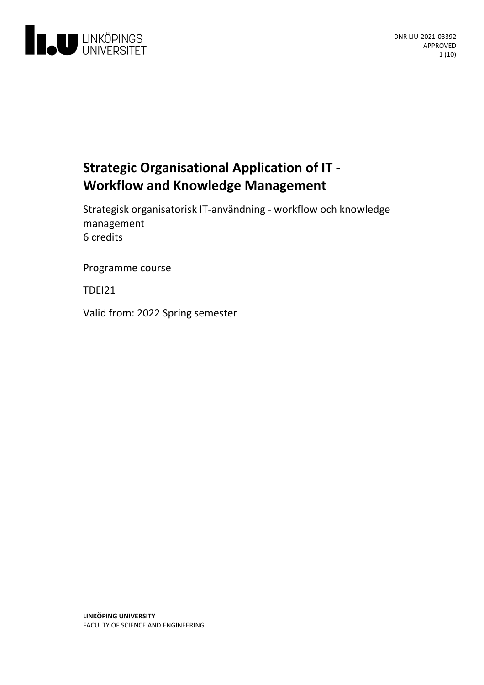

# **Strategic Organisational Application of IT - Workflow and Knowledge Management**

Strategisk organisatorisk IT-användning- workflow och knowledge management 6 credits

Programme course

TDEI21

Valid from: 2022 Spring semester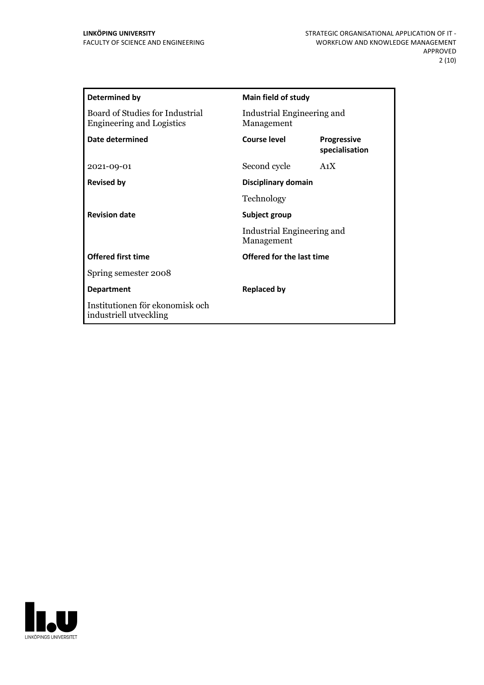| Determined by                                                       | Main field of study                      |                                      |
|---------------------------------------------------------------------|------------------------------------------|--------------------------------------|
| Board of Studies for Industrial<br><b>Engineering and Logistics</b> | Industrial Engineering and<br>Management |                                      |
| Date determined                                                     | Course level                             | <b>Progressive</b><br>specialisation |
| 2021-09-01                                                          | Second cycle                             | A1X                                  |
| <b>Revised by</b>                                                   | Disciplinary domain                      |                                      |
|                                                                     | Technology                               |                                      |
| <b>Revision date</b>                                                | Subject group                            |                                      |
|                                                                     | Industrial Engineering and<br>Management |                                      |
| <b>Offered first time</b>                                           | Offered for the last time                |                                      |
| Spring semester 2008                                                |                                          |                                      |
| <b>Department</b>                                                   | <b>Replaced by</b>                       |                                      |
| Institutionen för ekonomisk och<br>industriell utveckling           |                                          |                                      |

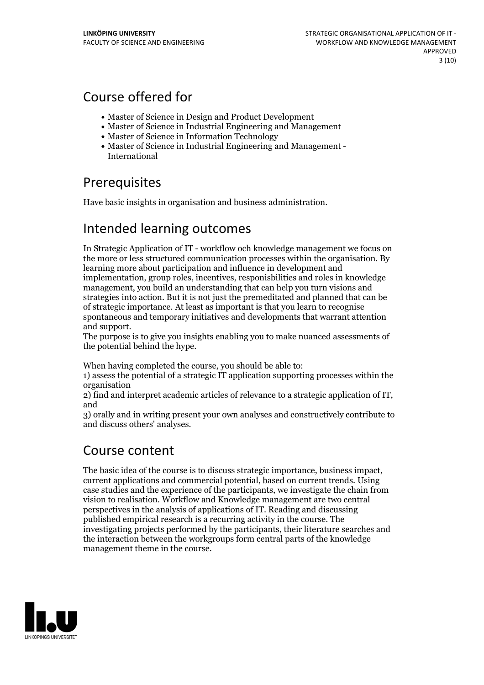# Course offered for

- Master of Science in Design and Product Development
- Master of Science in Industrial Engineering and Management
- Master of Science in Information Technology
- Master of Science in Industrial Engineering and Management International

# **Prerequisites**

Have basic insights in organisation and business administration.

# Intended learning outcomes

In Strategic Application of IT - workflow och knowledge management we focus on the more or less structured communication processes within the organisation. By learning more about participation and influence in development and implementation, group roles, incentives, responisbilities and roles in knowledge management, you build an understanding that can help you turn visions and strategies into action. But it is not just the premeditated and planned that can be of strategic importance. At least as important is that you learn to recognise spontaneous and temporary initiatives and developments that warrant attention

and support. The purpose is to give you insights enabling you to make nuanced assessments of the potential behind the hype.

When having completed the course, you should be able to:

1) assess the potential of a strategic IT application supporting processes within the organisation

2) find and interpret academic articles of relevance to <sup>a</sup> strategic application of IT, and

3) orally and in writing present your own analyses and constructively contribute to and discuss others' analyses.

# Course content

The basic idea of the course is to discuss strategic importance, business impact, current applications and commercial potential, based on current trends. Using case studies and the experience ofthe participants, we investigate the chain from vision to realisation. Workflow and Knowledge management are two central perspectives in the analysis of applications of IT. Reading and discussing published empirical research is a recurring activity in the course. The investigating projects performed by the participants, their literature searches and the interaction between the workgroups form central parts of the knowledge management theme in the course.

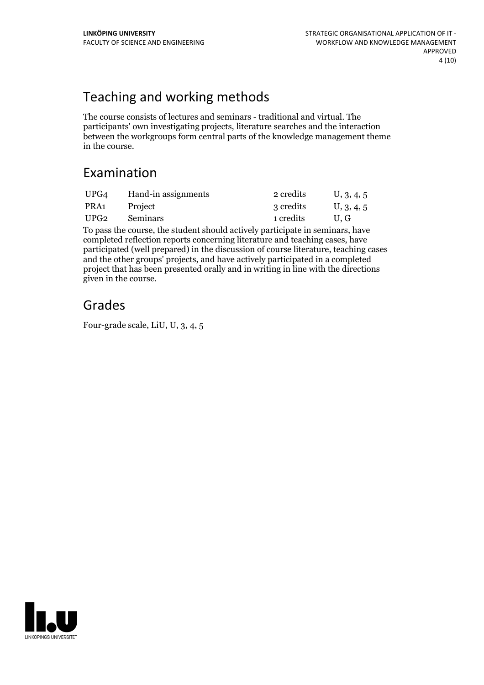# Teaching and working methods

The course consists of lectures and seminars - traditional and virtual. The participants' own investigating projects, literature searches and the interaction between the workgroups form central parts of the knowledge management theme in the course.

# Examination

| UPG4             | Hand-in assignments | 2 credits | U, 3, 4, 5 |
|------------------|---------------------|-----------|------------|
| PRA1             | Project             | 3 credits | U, 3, 4, 5 |
| UPG <sub>2</sub> | <b>Seminars</b>     | 1 credits | U.G        |

To pass the course, the student should actively participate in seminars, have completed reflection reports concerning literature and teaching cases, have participated (well prepared) in the discussion of course literature, teaching cases and the other groups' projects, and have actively participated in a completed project that has been presented orally and in writing in line with the directions given in the course.

# Grades

Four-grade scale, LiU, U, 3, 4, 5

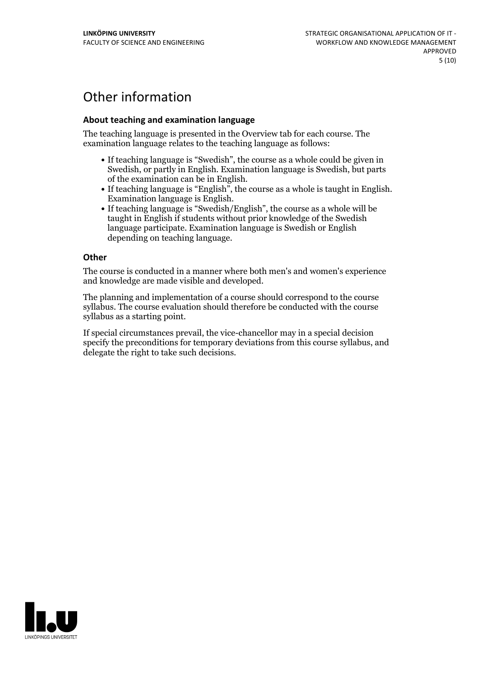# Other information

## **About teaching and examination language**

The teaching language is presented in the Overview tab for each course. The examination language relates to the teaching language as follows:

- If teaching language is "Swedish", the course as a whole could be given in Swedish, or partly in English. Examination language is Swedish, but parts
- of the examination can be in English.<br>
If teaching language is "English", the course as a whole is taught in English.<br>
Examination language is English.<br>
If teaching language is "Swedish/English", the course as a whole will
- taught in English if students without prior knowledge of the Swedish language participate. Examination language is Swedish or English depending on teaching language.

#### **Other**

The course is conducted in a manner where both men's and women's experience and knowledge are made visible and developed.

The planning and implementation of a course should correspond to the course syllabus. The course evaluation should therefore be conducted with the course syllabus as a starting point.

If special circumstances prevail, the vice-chancellor may in a special decision specify the preconditions for temporary deviations from this course syllabus, and delegate the right to take such decisions.

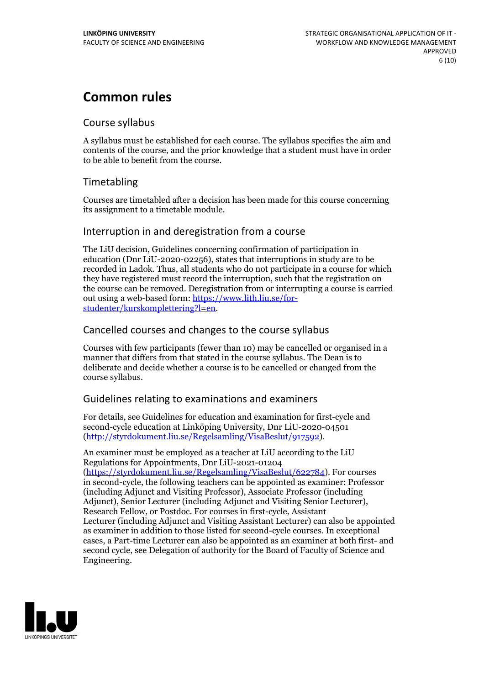# **Common rules**

## Course syllabus

A syllabus must be established for each course. The syllabus specifies the aim and contents of the course, and the prior knowledge that a student must have in order to be able to benefit from the course.

# Timetabling

Courses are timetabled after a decision has been made for this course concerning its assignment to a timetable module.

## Interruption in and deregistration from a course

The LiU decision, Guidelines concerning confirmation of participation in education (Dnr LiU-2020-02256), states that interruptions in study are to be recorded in Ladok. Thus, all students who do not participate in a course for which they have registered must record the interruption, such that the registration on the course can be removed. Deregistration from or interrupting a course is carried out using <sup>a</sup> web-based form: https://www.lith.liu.se/for- [studenter/kurskomplettering?l=en.](https://www.lith.liu.se/for-studenter/kurskomplettering?l=en)

## Cancelled coursesand changes to the course syllabus

Courses with few participants (fewer than 10) may be cancelled or organised in a manner that differs from that stated in the course syllabus. The Dean is to deliberate and decide whether a course is to be cancelled or changed from the course syllabus.

## Guidelines relating to examinations and examiners

For details, see Guidelines for education and examination for first-cycle and second-cycle education at Linköping University, Dnr LiU-2020-04501 [\(http://styrdokument.liu.se/Regelsamling/VisaBeslut/917592\)](http://styrdokument.liu.se/Regelsamling/VisaBeslut/917592).

An examiner must be employed as a teacher at LiU according to the LiU Regulations for Appointments, Dnr LiU-2021-01204 [\(https://styrdokument.liu.se/Regelsamling/VisaBeslut/622784](https://styrdokument.liu.se/Regelsamling/VisaBeslut/622784)). For courses in second-cycle, the following teachers can be appointed as examiner: Professor (including Adjunct and Visiting Professor), Associate Professor (including Adjunct), Senior Lecturer (including Adjunct and Visiting Senior Lecturer), Research Fellow, or Postdoc. For courses in first-cycle, Assistant Lecturer (including Adjunct and Visiting Assistant Lecturer) can also be appointed as examiner in addition to those listed for second-cycle courses. In exceptional cases, a Part-time Lecturer can also be appointed as an examiner at both first- and second cycle, see Delegation of authority for the Board of Faculty of Science and Engineering.

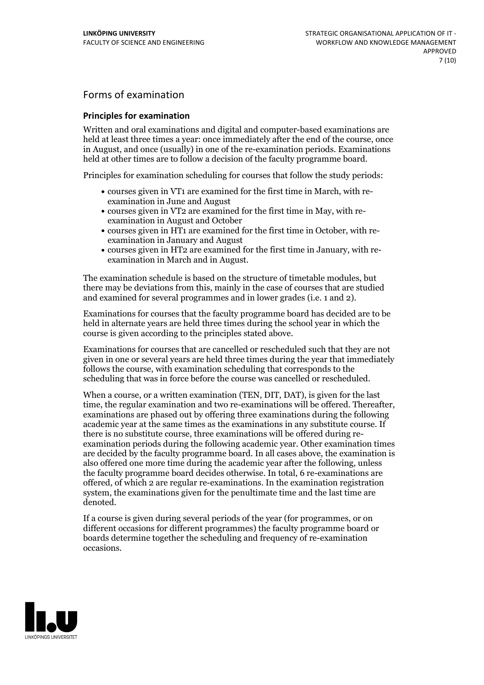# Forms of examination

#### **Principles for examination**

Written and oral examinations and digital and computer-based examinations are held at least three times a year: once immediately after the end of the course, once in August, and once (usually) in one of the re-examination periods. Examinations held at other times are to follow a decision of the faculty programme board.

Principles for examination scheduling for courses that follow the study periods:

- courses given in VT1 are examined for the first time in March, with re-examination in June and August
- courses given in VT2 are examined for the first time in May, with re-examination in August and October
- courses given in HT1 are examined for the first time in October, with re-examination in January and August
- courses given in HT2 are examined for the first time in January, with re-examination in March and in August.

The examination schedule is based on the structure of timetable modules, but there may be deviations from this, mainly in the case of courses that are studied and examined for several programmes and in lower grades (i.e. 1 and 2).

Examinations for courses that the faculty programme board has decided are to be held in alternate years are held three times during the school year in which the course is given according to the principles stated above.

Examinations for courses that are cancelled orrescheduled such that they are not given in one or several years are held three times during the year that immediately follows the course, with examination scheduling that corresponds to the scheduling that was in force before the course was cancelled or rescheduled.

When a course, or a written examination (TEN, DIT, DAT), is given for the last time, the regular examination and two re-examinations will be offered. Thereafter, examinations are phased out by offering three examinations during the following academic year at the same times as the examinations in any substitute course. If there is no substitute course, three examinations will be offered during re- examination periods during the following academic year. Other examination times are decided by the faculty programme board. In all cases above, the examination is also offered one more time during the academic year after the following, unless the faculty programme board decides otherwise. In total, 6 re-examinations are offered, of which 2 are regular re-examinations. In the examination registration system, the examinations given for the penultimate time and the last time are denoted.

If a course is given during several periods of the year (for programmes, or on different occasions for different programmes) the faculty programme board or boards determine together the scheduling and frequency of re-examination occasions.

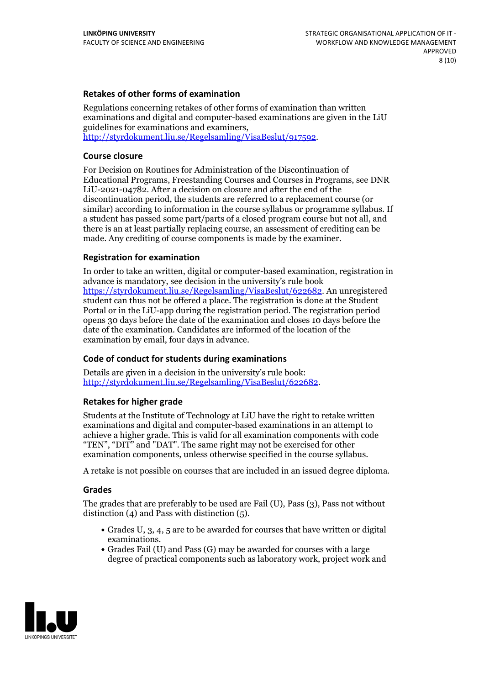### **Retakes of other forms of examination**

Regulations concerning retakes of other forms of examination than written examinations and digital and computer-based examinations are given in the LiU guidelines for examinations and examiners, [http://styrdokument.liu.se/Regelsamling/VisaBeslut/917592.](http://styrdokument.liu.se/Regelsamling/VisaBeslut/917592)

#### **Course closure**

For Decision on Routines for Administration of the Discontinuation of Educational Programs, Freestanding Courses and Courses in Programs, see DNR LiU-2021-04782. After a decision on closure and after the end of the discontinuation period, the students are referred to a replacement course (or similar) according to information in the course syllabus or programme syllabus. If a student has passed some part/parts of a closed program course but not all, and there is an at least partially replacing course, an assessment of crediting can be made. Any crediting of course components is made by the examiner.

#### **Registration for examination**

In order to take an written, digital or computer-based examination, registration in advance is mandatory, see decision in the university's rule book [https://styrdokument.liu.se/Regelsamling/VisaBeslut/622682.](https://styrdokument.liu.se/Regelsamling/VisaBeslut/622682) An unregistered student can thus not be offered a place. The registration is done at the Student Portal or in the LiU-app during the registration period. The registration period opens 30 days before the date of the examination and closes 10 days before the date of the examination. Candidates are informed of the location of the examination by email, four days in advance.

## **Code of conduct for students during examinations**

Details are given in a decision in the university's rule book: <http://styrdokument.liu.se/Regelsamling/VisaBeslut/622682>.

#### **Retakes for higher grade**

Students at the Institute of Technology at LiU have the right to retake written examinations and digital and computer-based examinations in an attempt to achieve a higher grade. This is valid for all examination components with code "TEN", "DIT" and "DAT". The same right may not be exercised for other examination components, unless otherwise specified in the course syllabus.

A retake is not possible on courses that are included in an issued degree diploma.

#### **Grades**

The grades that are preferably to be used are Fail (U), Pass (3), Pass not without distinction  $(4)$  and Pass with distinction  $(5)$ .

- Grades U, 3, 4, 5 are to be awarded for courses that have written or digital examinations.<br>• Grades Fail (U) and Pass (G) may be awarded for courses with a large
- degree of practical components such as laboratory work, project work and

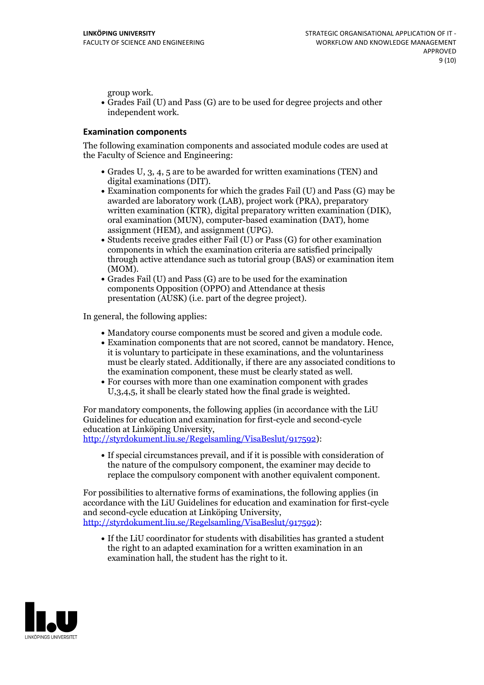group work.<br>• Grades Fail (U) and Pass (G) are to be used for degree projects and other independent work.

#### **Examination components**

The following examination components and associated module codes are used at the Faculty of Science and Engineering:

- Grades U, 3, 4, 5 are to be awarded for written examinations (TEN) and
- digital examinations (DIT).<br>• Examination components for which the grades Fail (U) and Pass (G) may be awarded are laboratory work (LAB), project work (PRA), preparatory written examination (KTR), digital preparatory written examination (DIK), oral examination (MUN), computer-based examination (DAT), home
- assignment (HEM), and assignment (UPG).<br>• Students receive grades either Fail (U) or Pass (G) for other examination components in which the examination criteria are satisfied principally through active attendance such as tutorial group (BAS) or examination item
- (MOM).<br>• Grades Fail (U) and Pass (G) are to be used for the examination components Opposition (OPPO) and Attendance at thesis presentation (AUSK) (i.e. part of the degree project).

In general, the following applies:

- 
- Mandatory course components must be scored and given <sup>a</sup> module code. Examination components that are not scored, cannot be mandatory. Hence, it is voluntary to participate in these examinations, and the voluntariness must be clearly stated. Additionally, if there are any associated conditions to
- the examination component, these must be clearly stated as well.<br>• For courses with more than one examination component with grades U,3,4,5, it shall be clearly stated how the final grade is weighted.

For mandatory components, the following applies (in accordance with the LiU Guidelines for education and examination for first-cycle and second-cycle

[http://styrdokument.liu.se/Regelsamling/VisaBeslut/917592\)](http://styrdokument.liu.se/Regelsamling/VisaBeslut/917592):

If special circumstances prevail, and if it is possible with consideration of the nature of the compulsory component, the examiner may decide to replace the compulsory component with another equivalent component.

For possibilities to alternative forms of examinations, the following applies (in accordance with the LiU Guidelines for education and examination for first-cycle [http://styrdokument.liu.se/Regelsamling/VisaBeslut/917592\)](http://styrdokument.liu.se/Regelsamling/VisaBeslut/917592):

If the LiU coordinator for students with disabilities has granted a student the right to an adapted examination for a written examination in an examination hall, the student has the right to it.